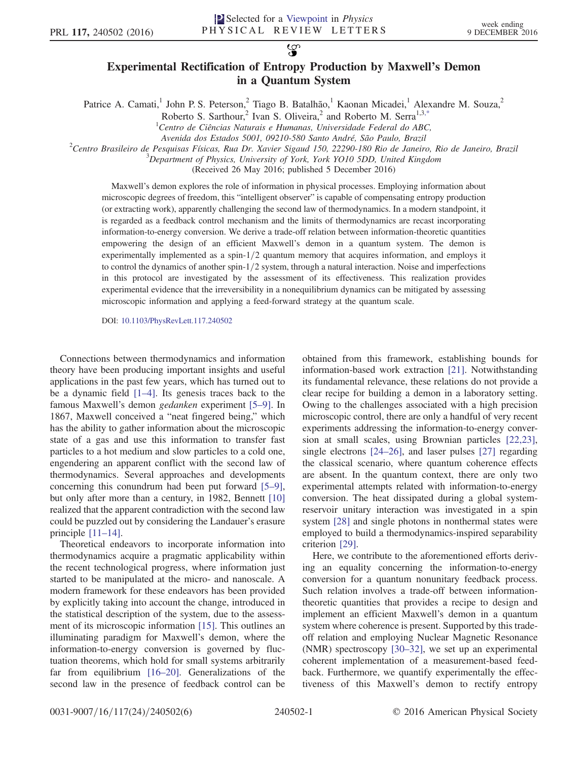$\mathcal{L}$ 

## Experimental Rectification of Entropy Production by Maxwell's Demon in a Quantum System

<span id="page-0-0"></span>Patrice A. Camati,<sup>1</sup> John P. S. Peterson,<sup>2</sup> Tiago B. Batalhão,<sup>1</sup> Kaonan Micadei,<sup>1</sup> Alexandre M. Souza,<sup>2</sup>

Roberto S. Sarthour,<sup>2</sup> Ivan S. Oliveira,<sup>2</sup> and Roberto M. Serra<sup>1,[3,\\*](#page-4-0)</sup>

 $^{2}$ Centro Brasileiro de Pesquisas Físicas, Rua Dr. Xavier Sigaud 150, 22290-180 Rio de Janeiro, Rio de Janeiro, Brazil

 $\beta$ Department of Physics, University of York, York YO10 5DD, United Kingdom

(Received 26 May 2016; published 5 December 2016)

Maxwell's demon explores the role of information in physical processes. Employing information about microscopic degrees of freedom, this "intelligent observer" is capable of compensating entropy production (or extracting work), apparently challenging the second law of thermodynamics. In a modern standpoint, it is regarded as a feedback control mechanism and the limits of thermodynamics are recast incorporating information-to-energy conversion. We derive a trade-off relation between information-theoretic quantities empowering the design of an efficient Maxwell's demon in a quantum system. The demon is experimentally implemented as a spin- $1/2$  quantum memory that acquires information, and employs it to control the dynamics of another spin- $1/2$  system, through a natural interaction. Noise and imperfections in this protocol are investigated by the assessment of its effectiveness. This realization provides experimental evidence that the irreversibility in a nonequilibrium dynamics can be mitigated by assessing microscopic information and applying a feed-forward strategy at the quantum scale.

DOI: [10.1103/PhysRevLett.117.240502](http://dx.doi.org/10.1103/PhysRevLett.117.240502)

Connections between thermodynamics and information theory have been producing important insights and useful applications in the past few years, which has turned out to be a dynamic field [1–[4\].](#page-4-1) Its genesis traces back to the famous Maxwell's demon gedanken experiment [5–[9\]](#page-4-2). In 1867, Maxwell conceived a "neat fingered being," which has the ability to gather information about the microscopic state of a gas and use this information to transfer fast particles to a hot medium and slow particles to a cold one, engendering an apparent conflict with the second law of thermodynamics. Several approaches and developments concerning this conundrum had been put forward [\[5](#page-4-2)–9], but only after more than a century, in 1982, Bennett [\[10\]](#page-4-3) realized that the apparent contradiction with the second law could be puzzled out by considering the Landauer's erasure principle [\[11](#page-4-4)–14].

Theoretical endeavors to incorporate information into thermodynamics acquire a pragmatic applicability within the recent technological progress, where information just started to be manipulated at the micro- and nanoscale. A modern framework for these endeavors has been provided by explicitly taking into account the change, introduced in the statistical description of the system, due to the assessment of its microscopic information [\[15\].](#page-4-5) This outlines an illuminating paradigm for Maxwell's demon, where the information-to-energy conversion is governed by fluctuation theorems, which hold for small systems arbitrarily far from equilibrium [\[16](#page-5-0)–20]. Generalizations of the second law in the presence of feedback control can be obtained from this framework, establishing bounds for information-based work extraction [\[21\].](#page-5-1) Notwithstanding its fundamental relevance, these relations do not provide a clear recipe for building a demon in a laboratory setting. Owing to the challenges associated with a high precision microscopic control, there are only a handful of very recent experiments addressing the information-to-energy conversion at small scales, using Brownian particles [\[22,23\]](#page-5-2), single electrons [24–[26\],](#page-5-3) and laser pulses [\[27\]](#page-5-4) regarding the classical scenario, where quantum coherence effects are absent. In the quantum context, there are only two experimental attempts related with information-to-energy conversion. The heat dissipated during a global systemreservoir unitary interaction was investigated in a spin system [\[28\]](#page-5-5) and single photons in nonthermal states were employed to build a thermodynamics-inspired separability criterion [\[29\].](#page-5-6)

Here, we contribute to the aforementioned efforts deriving an equality concerning the information-to-energy conversion for a quantum nonunitary feedback process. Such relation involves a trade-off between informationtheoretic quantities that provides a recipe to design and implement an efficient Maxwell's demon in a quantum system where coherence is present. Supported by this tradeoff relation and employing Nuclear Magnetic Resonance (NMR) spectroscopy [30–[32\]](#page-5-7), we set up an experimental coherent implementation of a measurement-based feedback. Furthermore, we quantify experimentally the effectiveness of this Maxwell's demon to rectify entropy

 ${}^{1}$ Centro de Ciências Naturais e Humanas, Universidade Federal do ABC,

Avenida dos Estados 5001, 09210-580 Santo André, São Paulo, Brazil <sup>2</sup>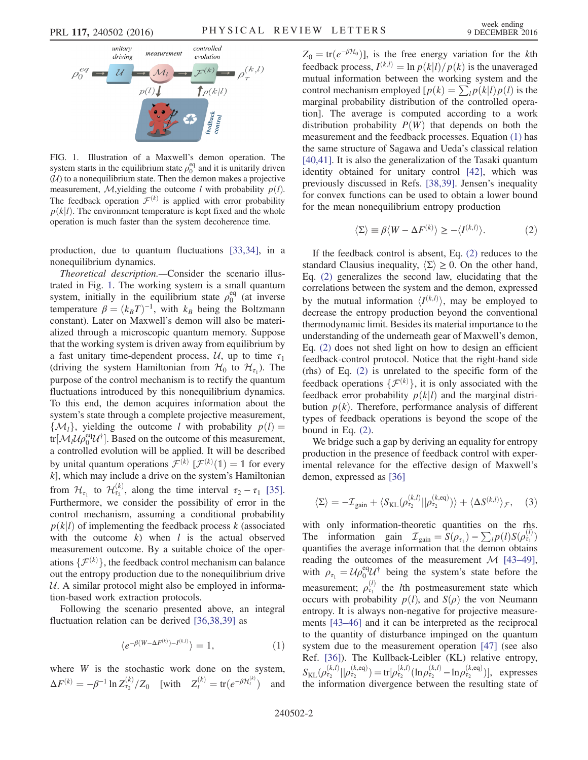<span id="page-1-0"></span>

FIG. 1. Illustration of a Maxwell's demon operation. The system starts in the equilibrium state  $\rho_0^{\text{eq}}$  and it is unitarily driven  $(U)$  to a nonequilibrium state. Then the demon makes a projective measurement, M,yielding the outcome l with probability  $p(l)$ . The feedback operation  $\mathcal{F}^{(k)}$  is applied with error probability  $p(k|l)$ . The environment temperature is kept fixed and the whole operation is much faster than the system decoherence time.

production, due to quantum fluctuations [\[33,34\]](#page-5-8), in a nonequilibrium dynamics.

Theoretical description.—Consider the scenario illustrated in Fig. [1](#page-1-0). The working system is a small quantum system, initially in the equilibrium state  $\rho_0^{\text{eq}}$  (at inverse temperature  $\beta = (k_B T)^{-1}$ , with  $k_B$  being the Boltzmann constant). Later on Maxwell's demon will also be materialized through a microscopic quantum memory. Suppose that the working system is driven away from equilibrium by a fast unitary time-dependent process,  $U$ , up to time  $\tau_1$ (driving the system Hamiltonian from  $\mathcal{H}_0$  to  $\mathcal{H}_{\tau_1}$ ). The purpose of the control mechanism is to rectify the quantum fluctuations introduced by this nonequilibrium dynamics. To this end, the demon acquires information about the system's state through a complete projective measurement,  $\{\mathcal{M}_l\}$ , yielding the outcome l with probability  $p(l) =$ tr[ $\mathcal{M}_l \mathcal{U}_l e_0^{\text{eq}} \mathcal{U}^{\dagger}$ ]. Based on the outcome of this measurement, a controlled evolution will be applied. It will be described by unital quantum operations  $\mathcal{F}^{(k)}$   $[\mathcal{F}^{(k)}(1) = 1]$  for every  $k$  l which may include a drive on the system's Hamiltonian  $k$ ], which may include a drive on the system's Hamiltonian from  $\mathcal{H}_{\tau_1}$  to  $\mathcal{H}_{\tau_2}^{(k)}$ , along the time interval  $\tau_2 - \tau_1$  [\[35\]](#page-5-9). Furthermore, we consider the possibility of error in the control mechanism, assuming a conditional probability  $p(k|l)$  of implementing the feedback process k (associated with the outcome  $k$ ) when  $l$  is the actual observed measurement outcome. By a suitable choice of the operations  $\{\mathcal{F}^{(k)}\}$ , the feedback control mechanism can balance<br>out the entropy production due to the nonequilibrium drive out the entropy production due to the nonequilibrium drive  $U.$  A similar protocol might also be employed in information-based work extraction protocols.

<span id="page-1-1"></span>Following the scenario presented above, an integral fluctuation relation can be derived [\[36,38,39\]](#page-5-10) as

$$
\langle e^{-\beta(W-\Delta F^{(k)})-I^{(k,l)}}\rangle = 1, \qquad (1)
$$

where  $W$  is the stochastic work done on the system,  $\Delta F^{(k)} = -\beta^{-1} \ln Z_{\tau_2}^{(k)}/Z_0$  [with  $Z_t^{(k)} = \text{tr}(e^{-\beta \mathcal{H}_t^{(k)}})$ and  $Z_0 = \text{tr}(e^{-\beta \mathcal{H}_0})$ , is the free energy variation for the kth feedback process,  $I^{(k,l)} = \ln p(k|l)/p(k)$  is the unaveraged mutual information between the working system and the control mechanism employed  $[p(k) = \sum_l p(k|l)p(l)$  is the marginal probability distribution of the controlled operation]. The average is computed according to a work distribution probability  $P(W)$  that depends on both the measurement and the feedback processes. Equation [\(1\)](#page-1-1) has the same structure of Sagawa and Ueda's classical relation [\[40,41\]](#page-5-11). It is also the generalization of the Tasaki quantum identity obtained for unitary control [\[42\],](#page-5-12) which was previously discussed in Refs. [\[38,39\].](#page-5-13) Jensen's inequality for convex functions can be used to obtain a lower bound for the mean nonequilibrium entropy production

$$
\langle \Sigma \rangle \equiv \beta \langle W - \Delta F^{(k)} \rangle \ge - \langle I^{(k,l)} \rangle. \tag{2}
$$

<span id="page-1-2"></span>If the feedback control is absent, Eq. [\(2\)](#page-1-2) reduces to the standard Clausius inequality,  $\langle \Sigma \rangle \geq 0$ . On the other hand, Eq. [\(2\)](#page-1-2) generalizes the second law, elucidating that the correlations between the system and the demon, expressed by the mutual information  $\langle I^{(k,l)} \rangle$ , may be employed to decrease the entropy production beyond the conventional decrease the entropy production beyond the conventional thermodynamic limit. Besides its material importance to the understanding of the underneath gear of Maxwell's demon, Eq. [\(2\)](#page-1-2) does not shed light on how to design an efficient feedback-control protocol. Notice that the right-hand side (rhs) of Eq. [\(2\)](#page-1-2) is unrelated to the specific form of the feedback operations  $\{\mathcal{F}^{(k)}\}$ , it is only associated with the feedback error probability  $p(k|l)$  and the marginal distrifeedback error probability  $p(k|l)$  and the marginal distribution  $p(k)$ . Therefore, performance analysis of different types of feedback operations is beyond the scope of the bound in Eq. [\(2\).](#page-1-2)

<span id="page-1-3"></span>We bridge such a gap by deriving an equality for entropy production in the presence of feedback control with experimental relevance for the effective design of Maxwell's demon, expressed as [\[36\]](#page-5-10)

$$
\langle \Sigma \rangle = -\mathcal{I}_{\text{gain}} + \langle S_{\text{KL}}(\rho_{\tau_2}^{(k,l)} || \rho_{\tau_2}^{(k,eq)}) \rangle + \langle \Delta S^{(k,l)} \rangle_{\mathcal{F}}, \quad (3)
$$

with only information-theoretic quantities on the rhs. The information gain  $\mathcal{I}_{gain} = S(\rho_{\tau_1}) - \sum_l p(l)S(\rho_{\tau_1}^{(l)})$ <br>quantifies the average information that the demon obtains quantifies the average information that the demon obtains reading the outcomes of the measurement  $\mathcal{M}$  [\[43](#page-5-14)–49], with  $\rho_{\tau_1} = \mathcal{U} \rho_0^{\text{eq}} \mathcal{U}^{\dagger}$  being the system's state before the measurement;  $\rho_{\tau_1}^{(l)}$  the *l*th postmeasurement state which occurs with probability  $p(l)$ , and  $S(\rho)$  the von Neumann entropy. It is always non-negative for projective measurements [43–[46\]](#page-5-14) and it can be interpreted as the reciprocal to the quantity of disturbance impinged on the quantum system due to the measurement operation [\[47\]](#page-5-15) (see also Ref. [\[36\]](#page-5-10)). The Kullback-Leibler (KL) relative entropy,  $S_{\text{KL}}(\rho_{\tau_2}^{(k,l)}||\rho_{\tau_2}^{(k,\text{eq})}) = \text{tr}[\rho_{\tau_2}^{(k,l)}(\ln \rho_{\tau_2}^{(k,l)} - \ln \rho_{\tau_2}^{(k,\text{eq})})],$  expresses<br>the information divergence between the resulting state of the information divergence between the resulting state of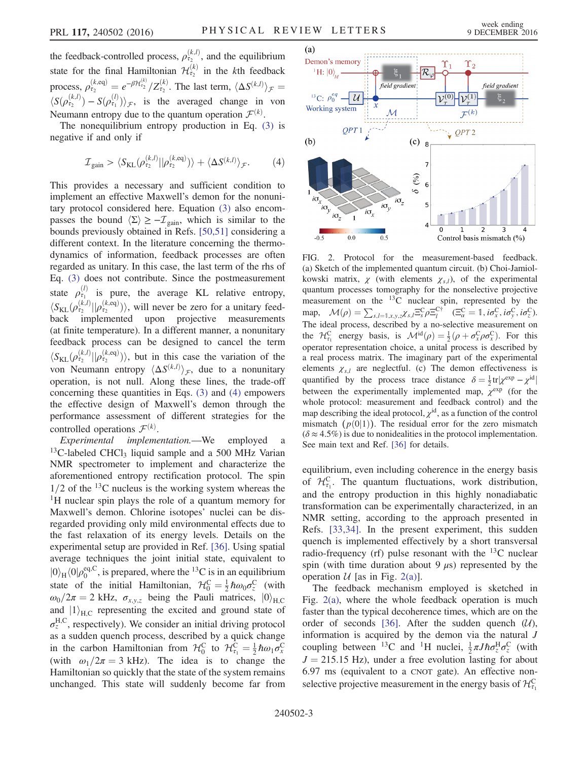the feedback-controlled process,  $\rho_{\tau_2}^{(k,l)}$ , and the equilibrium state for the final Hamiltonian  $\mathcal{H}_{\tau_2}^{(k)}$  in the *k*th feedback process,  $\rho_{\tau_2}^{(k, \text{eq})} = e^{-\beta \mathcal{H}_{\tau_2}^{(k)}} / Z_{\tau_2}^{(k)}$ . The last term,  $\langle \Delta S^{(k,l)} \rangle$  $\int \mathcal{F}$  –  $\langle S(\rho_{\tau_2}^{(k,l)}) - S(\rho_{\tau_1}^{(l)}) \rangle_{\mathcal{F}}$ , is the averaged change in von<br>Noumann optropy due to the quantum operation  $\mathcal{F}^{(k)}$ Neumann entropy due to the quantum operation  $\mathcal{F}^{(k)}$ .

<span id="page-2-0"></span>The nonequilibrium entropy production in Eq. [\(3\)](#page-1-3) is negative if and only if

$$
\mathcal{I}_{\text{gain}} > \langle S_{\text{KL}}(\rho_{\tau_2}^{(k,l)} || \rho_{\tau_2}^{(k,\text{eq})}) \rangle + \langle \Delta S^{(k,l)} \rangle_{\mathcal{F}}.
$$
 (4)

This provides a necessary and sufficient condition to implement an effective Maxwell's demon for the nonunitary protocol considered here. Equation [\(3\)](#page-1-3) also encompasses the bound  $\langle \Sigma \rangle \ge -\mathcal{I}_{\text{gain}}$ , which is similar to the bounds previously obtained in Refs. [\[50,51\]](#page-5-16) considering a different context. In the literature concerning the thermodynamics of information, feedback processes are often regarded as unitary. In this case, the last term of the rhs of Eq. [\(3\)](#page-1-3) does not contribute. Since the postmeasurement state  $\rho_{\tau_1}^{(l)}$  is pure, the average KL relative entropy,  $\langle S_{KL}(\rho_{\tau_2}^{(k,l)}|| \rho_{\tau_2}^{(k, \text{eq})})\rangle$ , will never be zero for a unitary feed-<br>hack implemented upon projective measurements back implemented upon projective measurements (at finite temperature). In a different manner, a nonunitary feedback process can be designed to cancel the term  $\langle S_{KL}(\rho_{\tau_2}^{(k,l)}|| \rho_{\tau_2}^{(k,eq)})\rangle$ , but in this case the variation of the von Neumann entropy  $\langle \Delta S^{(k,l)} \rangle_{\mathcal{F}}$ , due to a nonunitary<br>operation is not null. Along these lines, the trade-off operation, is not null. Along these lines, the trade-off concerning these quantities in Eqs. [\(3\)](#page-1-3) and [\(4\)](#page-2-0) empowers the effective design of Maxwell's demon through the performance assessment of different strategies for the controlled operations  $\mathcal{F}^{(k)}$ .

Experimental implementation.—We employed a  $13C$ -labeled CHCl<sub>3</sub> liquid sample and a 500 MHz Varian NMR spectrometer to implement and characterize the aforementioned entropy rectification protocol. The spin  $1/2$  of the <sup>13</sup>C nucleus is the working system whereas the <sup>1</sup>H nuclear spin plays the role of a quantum memory for Maxwell's demon. Chlorine isotopes' nuclei can be disregarded providing only mild environmental effects due to the fast relaxation of its energy levels. Details on the experimental setup are provided in Ref. [\[36\].](#page-5-10) Using spatial average techniques the joint initial state, equivalent to  $|0\rangle_H \langle 0| \rho_0^{\text{eq},\text{C}}$ , is prepared, where the <sup>13</sup>C is in an equilibrium<br>state of the initial Hamiltonian  $\mathcal{H}^{\text{C}} = {^{1}}$  hears  $\mathcal{L}^{\text{C}}$  (with state of the initial Hamiltonian,  $H_0^C = \frac{1}{2} \hbar \omega_0 \sigma_z^C$  (with  $\omega_0/2\pi = 2 \text{ kHz}$   $\sigma_z$  heing the Pouli matrices  $|0\rangle$  $\omega_0/2\pi = 2$  kHz,  $\sigma_{x,y,z}$  being the Pauli matrices,  $|0\rangle_{\text{H,C}}$ <br>and  $|1\rangle$  representing the excited and ground state of and  $|1\rangle_{\text{H,C}}$  representing the excited and ground state of  $\text{H,C}$  representingly. We consider an initial driving protocol  $\sigma_z^{\text{H,C}}$ , respectively). We consider an initial driving protocol as a sudden quench process, described by a quick change in the carbon Hamiltonian from  $\mathcal{H}_0^C$  to  $\mathcal{H}_{\tau_1}^C = \frac{1}{2}\hbar\omega_1\sigma_x^C$ <br>(with  $\omega_1/2\pi = 3$  kHz). The idea is to change the (with  $\omega_1/2\pi = 3$  kHz). The idea is to change the Hamiltonian so quickly that the state of the system remains unchanged. This state will suddenly become far from

<span id="page-2-1"></span>

FIG. 2. Protocol for the measurement-based feedback. (a) Sketch of the implemented quantum circuit. (b) Choi-Jamiolkowski matrix,  $\chi$  (with elements  $\chi_{s,l}$ ), of the experimental quantum processes tomography for the nonselective projective measurement on the <sup>13</sup>C nuclear spin, represented by the map,  $\mathcal{M}(\rho) = \sum_{s,l=1,x,y,z} \chi_{s,l} \Xi_s^C \rho \Xi_c^{C\dagger}$  ( $\Xi_a^C = 1$ ,  $i\sigma_x^C$ ,  $i\sigma_y^C$ ,  $i\sigma_z^C$ ).<br>The ideal process described by a no selective measurement on The ideal process, described by a no-selective measurement on the  $\mathcal{H}_{\text{c}_1}^{\text{C}}$  energy basis, is  $\mathcal{M}^{\text{id}}(\rho) = \frac{1}{2}(\rho + \sigma_x^{\text{C}}\rho\sigma_x^{\text{C}})$ . For this operator representation choice, a unital process is described by a real process matrix. The imaginary part of the experimental elements  $\chi_{s,l}$  are neglectful. (c) The demon effectiveness is quantified by the process trace distance  $\delta = \frac{1}{2} \text{tr} |\chi^{\text{exp}} - \chi^{\text{id}}|$ between the experimentally implemented map,  $\chi^{\text{exp}}$  (for the whole protocol: measurement and feedback control) and the map describing the ideal protocol,  $\chi^{\text{id}}$ , as a function of the control mismatch  $(p(0|1))$ . The residual error for the zero mismatch  $(\delta \approx 4.5\%)$  is due to nonidealities in the protocol implementation. See main text and Ref. [\[36\]](#page-5-10) for details.

equilibrium, even including coherence in the energy basis of  $\mathcal{H}_{\tau_1}^C$ . The quantum fluctuations, work distribution, and the entropy production in this highly nonadiabatic transformation can be experimentally characterized, in an NMR setting, according to the approach presented in Refs. [\[33,34\].](#page-5-8) In the present experiment, this sudden quench is implemented effectively by a short transversal radio-frequency (rf) pulse resonant with the  $^{13}$ C nuclear spin (with time duration about 9  $\mu$ s) represented by the operation  $U$  [as in Fig. [2\(a\)](#page-2-1)].

The feedback mechanism employed is sketched in Fig. [2\(a\)](#page-2-1), where the whole feedback operation is much faster than the typical decoherence times, which are on the order of seconds [\[36\].](#page-5-10) After the sudden quench  $(U)$ , information is acquired by the demon via the natural J coupling between <sup>13</sup>C and <sup>1</sup>H nuclei,  $\frac{1}{2} \pi J \hbar \sigma_z^{\text{H}} \sigma_z^{\text{C}}$  (with  $J = 215.15$  Hz), under a free evolution lasting for about 6.97 ms (equivalent to a CNOT gate). An effective nonselective projective measurement in the energy basis of  $\mathcal{H}^C_{\tau_1}$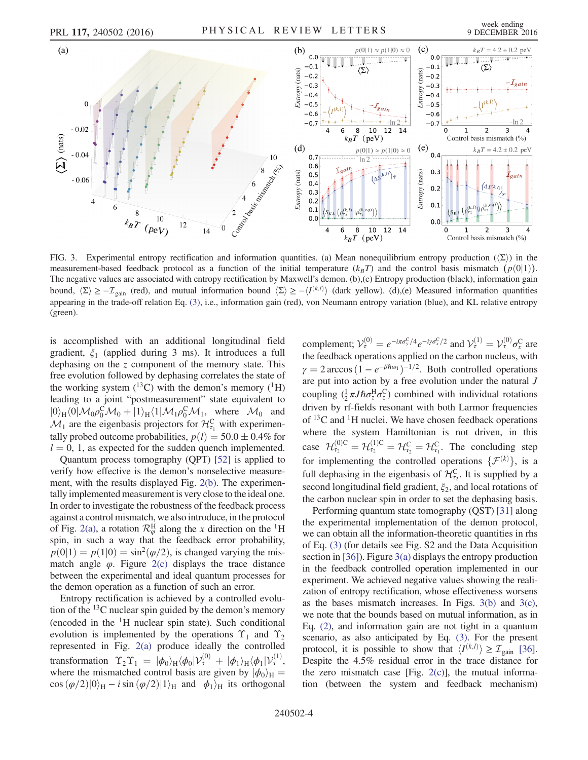<span id="page-3-0"></span>

FIG. 3. Experimental entropy rectification and information quantities. (a) Mean nonequilibrium entropy production ( $(\Sigma)$ ) in the measurement-based feedback protocol as a function of the initial temperature  $(k_BT)$  and the control basis mismatch  $(p(0|1))$ . The negative values are associated with entropy rectification by Maxwell's demon. (b),(c) Entropy production (black), information gain bound,  $\langle \Sigma \rangle \ge -\mathcal{I}_{\text{gain}}$  (red), and mutual information bound  $\langle \Sigma \rangle \ge -\langle I^{(k,l)} \rangle$  (dark yellow). (d),(e) Measured information quantities appearing in the trade-off relation Eq. [\(3\)](#page-1-3), i.e., information gain (red), von Neumann entropy variation (blue), and KL relative entropy (green).

is accomplished with an additional longitudinal field gradient,  $\xi_1$  (applied during 3 ms). It introduces a full dephasing on the z component of the memory state. This free evolution followed by dephasing correlates the state of the working system  $(^{13}C)$  with the demon's memory  $(^{1}H)$ leading to a joint "postmeasurement" state equivalent to  $|0\rangle_H \langle 0| \mathcal{M}_0 \rho_0^C \mathcal{M}_0 + |1\rangle_H \langle 1| \mathcal{M}_1 \rho_0^C \mathcal{M}_1$ , where  $\mathcal{M}_0$  and  $\mathcal{M}_1$  are the eigenbasis projectors for  $\mathcal{H}^C$  with experimen  $\mathcal{M}_1$  are the eigenbasis projectors for  $\mathcal{H}_{\tau_1}^C$  with experimentally probed outcome probabilities,  $p(l) = 50.0 \pm 0.4\%$  for  $l = 0, 1$ , as expected for the sudden quench implemented.

Quantum process tomography (QPT) [\[52\]](#page-5-17) is applied to verify how effective is the demon's nonselective measurement, with the results displayed Fig. [2\(b\)](#page-2-1). The experimentally implemented measurement is very close to the ideal one. In order to investigate the robustness of the feedback process against a control mismatch, we also introduce, in the protocol of Fig. [2\(a\),](#page-2-1) a rotation  $\mathcal{R}_{\varphi}^{\text{H}}$  along the x direction on the <sup>1</sup>H spin, in such a way that the feedback error probability,  $p(0|1) = p(1|0) = \sin^2(\varphi/2)$ , is changed varying the mismatch angle  $\varphi$ . Figure [2\(c\)](#page-2-1) displays the trace distance between the experimental and ideal quantum processes for the demon operation as a function of such an error.

Entropy rectification is achieved by a controlled evolution of the  $^{13}$ C nuclear spin guided by the demon's memory (encoded in the  ${}^{1}H$  nuclear spin state). Such conditional evolution is implemented by the operations  $\Upsilon_1$  and  $\Upsilon_2$ represented in Fig. [2\(a\)](#page-2-1) produce ideally the controlled transformation  $\Upsilon_2 \Upsilon_1 = |\phi_0\rangle_H \langle \phi_0 | \mathcal{V}_\tau^{(0)} + |\phi_1\rangle_H \langle \phi_1 | \mathcal{V}_\tau^{(1)}\rangle$ <br>where the mismatched control basis are given by  $|\phi_0\rangle_{\tau}$ where the mismatched control basis are given by  $|\phi_0\rangle_H$  =  $\cos(\varphi/2)|0\rangle_H - i \sin(\varphi/2)|1\rangle_H$  and  $|\varphi_1\rangle_H$  its orthogonal

complement;  $V_{\tau}^{(0)} = e^{-i\pi\sigma_y^C/4} e^{-i\gamma\sigma_x^C/2}$  and  $V_{\tau}^{(1)} = V_{\tau}^{(0)} \sigma_x^C$  are the feedback operations applied on the carbon nucleus, with  $\gamma = 2 \arccos(1 - e^{-\beta \hbar \omega_1})^{-1/2}$ . Both controlled operations are put into action by a free evolution under the natural J coupling  $(\frac{1}{2}\pi J\hbar \sigma_z^{\text{H}} \sigma_z^{\text{C}})$  combined with individual rotations driven by rf-fields resonant with both Larmor frequencies of  $^{13}$ C and  $^{1}$ H nuclei. We have chosen feedback operations where the system Hamiltonian is not driven, in this case  $\mathcal{H}_{\tau_2}^{(0)C} = \mathcal{H}_{\tau_2}^{(1)C} = \mathcal{H}_{\tau_2}^C = \mathcal{H}_{\tau_1}^C$ . The concluding step for implementing the controlled operations  $\{\mathcal{F}^{(k)}\}$ , is a full dephasing in the eigenhasis of  $\mathcal{H}^{\mathbb{C}}$ . It is supplied by a full dephasing in the eigenbasis of  $\mathcal{H}_{\tau_2}^C$ . It is supplied by a second longitudinal field gradient,  $\xi_2$ , and local rotations of the carbon nuclear spin in order to set the dephasing basis.

Performing quantum state tomography (QST) [\[31\]](#page-5-18) along the experimental implementation of the demon protocol, we can obtain all the information-theoretic quantities in rhs of Eq. [\(3\)](#page-1-3) (for details see Fig. S2 and the Data Acquisition section in [\[36\]](#page-5-10)). Figure [3\(a\)](#page-3-0) displays the entropy production in the feedback controlled operation implemented in our experiment. We achieved negative values showing the realization of entropy rectification, whose effectiveness worsens as the bases mismatch increases. In Figs.  $3(b)$  and  $3(c)$ , we note that the bounds based on mutual information, as in Eq. [\(2\)](#page-1-2), and information gain are not tight in a quantum scenario, as also anticipated by Eq. [\(3\).](#page-1-3) For the present protocol, it is possible to show that  $\langle I^{(k,l)} \rangle \geq \mathcal{I}_{\text{gain}}$  [\[36\]](#page-5-10).<br>Despite the 4.5% residual error in the trace distance for Despite the 4.5% residual error in the trace distance for the zero mismatch case [Fig.  $2(c)$ ], the mutual information (between the system and feedback mechanism)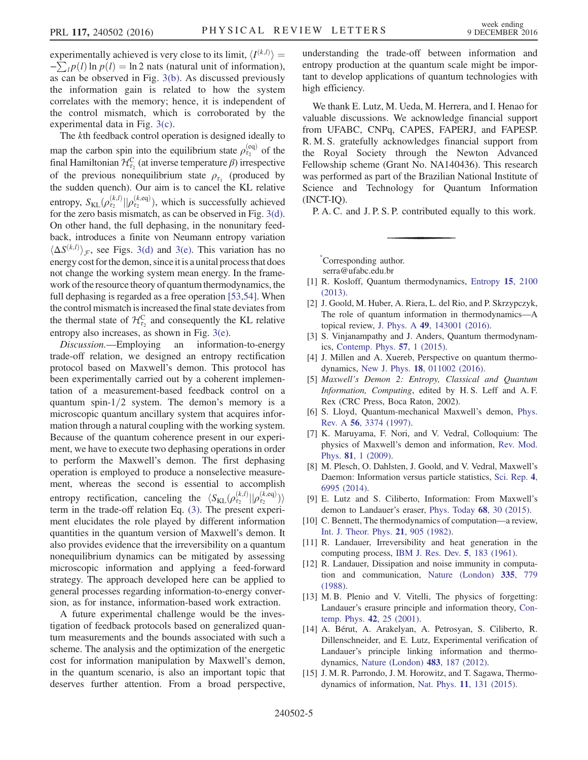experimentally achieved is very close to its limit,  $\langle I^{(k,l)} \rangle =$  $-\sum_l p(l) \ln p(l) = \ln 2$  nats (natural unit of information),<br>as can be observed in Fig. 3(b). As discussed previously as can be observed in Fig. [3\(b\)](#page-3-0). As discussed previously the information gain is related to how the system correlates with the memory; hence, it is independent of the control mismatch, which is corroborated by the experimental data in Fig. [3\(c\).](#page-3-0)

The kth feedback control operation is designed ideally to map the carbon spin into the equilibrium state  $\rho_{\tau_2}^{\text{(eq)}}$  of the final Hamiltonian  $\mathcal{H}_{\tau_2}^C$  (at inverse temperature  $\beta$ ) irrespective of the previous nonequilibrium state  $\rho_{\tau_1}$  (produced by the sudden quench). Our aim is to cancel the KL relative entropy,  $S_{KL}(\rho_{\tau_2}^{(k,l)}|| \rho_{\tau_2}^{(k,eq)})$ , which is successfully achieved<br>for the zero basis mismatch as can be observed in Fig. 3(d) for the zero basis mismatch, as can be observed in Fig. [3\(d\)](#page-3-0). On other hand, the full dephasing, in the nonunitary feedback, introduces a finite von Neumann entropy variation  $\langle \Delta S^{(k,l)} \rangle_{\mathcal{F}}$ , see Figs. [3\(d\)](#page-3-0) and [3\(e\)](#page-3-0). This variation has no<br>energy cost for the demon-since it is a unital process that does energy cost for the demon, since it is a unital process that does not change the working system mean energy. In the framework of the resource theory of quantum thermodynamics, the full dephasing is regarded as a free operation [\[53,54\]](#page-5-19). When the control mismatch is increased the final state deviates from the thermal state of  $\mathcal{H}_{\tau_2}^C$  and consequently the KL relative entropy also increases, as shown in Fig. [3\(e\).](#page-3-0)

Discussion.—Employing an information-to-energy trade-off relation, we designed an entropy rectification protocol based on Maxwell's demon. This protocol has been experimentally carried out by a coherent implementation of a measurement-based feedback control on a quantum spin- $1/2$  system. The demon's memory is a microscopic quantum ancillary system that acquires information through a natural coupling with the working system. Because of the quantum coherence present in our experiment, we have to execute two dephasing operations in order to perform the Maxwell's demon. The first dephasing operation is employed to produce a nonselective measurement, whereas the second is essential to accomplish entropy rectification, canceling the  $\langle S_{KL}(\rho_{\tau_2}^{(k,l)}|| \rho_{\tau_2}^{(k,eq)})\rangle$ <br>term in the trade-off relation Eq. (3). The present experiterm in the trade-off relation Eq. [\(3\).](#page-1-3) The present experiment elucidates the role played by different information quantities in the quantum version of Maxwell's demon. It also provides evidence that the irreversibility on a quantum nonequilibrium dynamics can be mitigated by assessing microscopic information and applying a feed-forward strategy. The approach developed here can be applied to general processes regarding information-to-energy conversion, as for instance, information-based work extraction.

A future experimental challenge would be the investigation of feedback protocols based on generalized quantum measurements and the bounds associated with such a scheme. The analysis and the optimization of the energetic cost for information manipulation by Maxwell's demon, in the quantum scenario, is also an important topic that deserves further attention. From a broad perspective, understanding the trade-off between information and entropy production at the quantum scale might be important to develop applications of quantum technologies with high efficiency.

We thank E. Lutz, M. Ueda, M. Herrera, and I. Henao for valuable discussions. We acknowledge financial support from UFABC, CNPq, CAPES, FAPERJ, and FAPESP. R. M. S. gratefully acknowledges financial support from the Royal Society through the Newton Advanced Fellowship scheme (Grant No. NA140436). This research was performed as part of the Brazilian National Institute of Science and Technology for Quantum Information (INCT-IQ).

P. A. C. and J. P. S. P. contributed equally to this work.

<span id="page-4-0"></span>[\\*](#page-0-0) Corresponding author.

serra@ufabc.edu.br

- <span id="page-4-1"></span>[1] R. Kosloff, Quantum thermodynamics, [Entropy](http://dx.doi.org/10.3390/e15062100) 15, 2100 [\(2013\).](http://dx.doi.org/10.3390/e15062100)
- [2] J. Goold, M. Huber, A. Riera, L. del Rio, and P. Skrzypczyk, The role of quantum information in thermodynamics—A topical review, J. Phys. A 49[, 143001 \(2016\).](http://dx.doi.org/10.1088/1751-8113/49/14/143001)
- [3] S. Vinjanampathy and J. Anders, Quantum thermodynamics, [Contemp. Phys.](http://dx.doi.org/10.1080/00107514.2016.1201896) 57, 1 (2015).
- <span id="page-4-2"></span>[4] J. Millen and A. Xuereb, Perspective on quantum thermodynamics, New J. Phys. 18[, 011002 \(2016\)](http://dx.doi.org/10.1088/1367-2630/18/1/011002).
- [5] Maxwell's Demon 2: Entropy, Classical and Quantum Information, Computing, edited by H. S. Leff and A. F. Rex (CRC Press, Boca Raton, 2002).
- [6] S. Lloyd, Quantum-mechanical Maxwell's demon, [Phys.](http://dx.doi.org/10.1103/PhysRevA.56.3374) Rev. A 56[, 3374 \(1997\).](http://dx.doi.org/10.1103/PhysRevA.56.3374)
- [7] K. Maruyama, F. Nori, and V. Vedral, Colloquium: The physics of Maxwell's demon and information, [Rev. Mod.](http://dx.doi.org/10.1103/RevModPhys.81.1) Phys. 81[, 1 \(2009\)](http://dx.doi.org/10.1103/RevModPhys.81.1).
- [8] M. Plesch, O. Dahlsten, J. Goold, and V. Vedral, Maxwell's Daemon: Information versus particle statistics, [Sci. Rep.](http://dx.doi.org/10.1038/srep06995) 4, [6995 \(2014\)](http://dx.doi.org/10.1038/srep06995).
- <span id="page-4-3"></span>[9] E. Lutz and S. Ciliberto, Information: From Maxwell's demon to Landauer's eraser, [Phys. Today](http://dx.doi.org/10.1063/PT.3.2912) 68, 30 (2015).
- <span id="page-4-4"></span>[10] C. Bennett, The thermodynamics of computation—a review, [Int. J. Theor. Phys.](http://dx.doi.org/10.1007/BF02084158) 21, 905 (1982).
- [11] R. Landauer, Irreversibility and heat generation in the computing process, [IBM J. Res. Dev.](http://dx.doi.org/10.1147/rd.53.0183) 5, 183 (1961).
- [12] R. Landauer, Dissipation and noise immunity in computation and communication, [Nature \(London\)](http://dx.doi.org/10.1038/335779a0) 335, 779 [\(1988\).](http://dx.doi.org/10.1038/335779a0)
- [13] M. B. Plenio and V. Vitelli, The physics of forgetting: Landauer's erasure principle and information theory, [Con](http://dx.doi.org/10.1080/00107510010018916)[temp. Phys.](http://dx.doi.org/10.1080/00107510010018916) 42, 25 (2001).
- <span id="page-4-5"></span>[14] A. Bérut, A. Arakelyan, A. Petrosyan, S. Ciliberto, R. Dillenschneider, and E. Lutz, Experimental verification of Landauer's principle linking information and thermodynamics, [Nature \(London\)](http://dx.doi.org/10.1038/nature10872) 483, 187 (2012).
- [15] J. M. R. Parrondo, J. M. Horowitz, and T. Sagawa, Thermodynamics of information, Nat. Phys. 11[, 131 \(2015\).](http://dx.doi.org/10.1038/nphys3230)